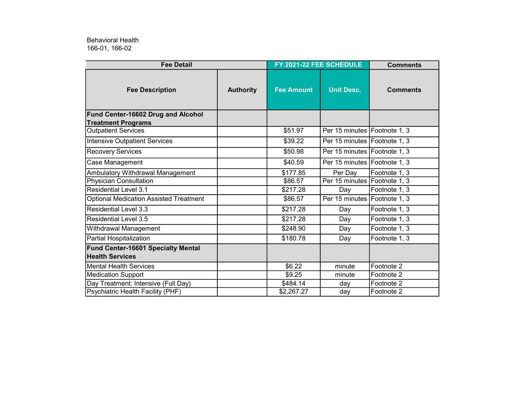166-01, 166-02 Behavioral Health

| <b>Fee Detail</b>                             |                  | FY 2021-22 FEE SCHEDULE |                                | <b>Comments</b> |
|-----------------------------------------------|------------------|-------------------------|--------------------------------|-----------------|
| <b>Fee Description</b>                        | <b>Authority</b> | <b>Fee Amount</b>       | <b>Unit Desc.</b>              | <b>Comments</b> |
| Fund Center-16602 Drug and Alcohol            |                  |                         |                                |                 |
| <b>Treatment Programs</b>                     |                  |                         |                                |                 |
| <b>Outpatient Services</b>                    |                  | \$51.97                 | Per 15 minutes Footnote 1, 3   |                 |
| <b>Intensive Outpatient Services</b>          |                  | \$39.22                 | Per 15 minutes Footnote 1, 3   |                 |
| <b>Recovery Services</b>                      |                  | \$50.98                 | Per 15 minutes Footnote 1, 3   |                 |
| Case Management                               |                  | \$40.59                 | Per 15 minutes   Footnote 1, 3 |                 |
| Ambulatory Withdrawal Management              |                  | \$177.85                | Per Day                        | Footnote 1, 3   |
| <b>Physician Consultation</b>                 |                  | \$86.57                 | Per 15 minutes Footnote 1, 3   |                 |
| Residential Level 3.1                         |                  | \$217.28                | Day                            | Footnote 1, 3   |
| <b>Optional Medication Assisted Treatment</b> |                  | \$86.57                 | Per 15 minutes Footnote 1, 3   |                 |
| <b>Residential Level 3.3</b>                  |                  | \$217.28                | Day                            | Footnote 1, 3   |
| <b>Residential Level 3.5</b>                  |                  | \$217.28                | Day                            | Footnote 1, 3   |
| Withdrawal Management                         |                  | \$248.90                | Day                            | Footnote 1, 3   |
| Partial Hospitalization                       |                  | \$180.78                | Day                            | Footnote 1, 3   |
| Fund Center-16601 Specialty Mental            |                  |                         |                                |                 |
| <b>Health Services</b>                        |                  |                         |                                |                 |
| Mental Health Services                        |                  | \$6.22                  | minute                         | Footnote 2      |
| <b>Medication Support</b>                     |                  | \$9.25                  | minute                         | Footnote 2      |
| Day Treatment: Intensive (Full Day)           |                  | \$484.14                | dav                            | Footnote 2      |
| Psychiatric Health Facility (PHF)             |                  | \$2,267.27              | day                            | Footnote 2      |